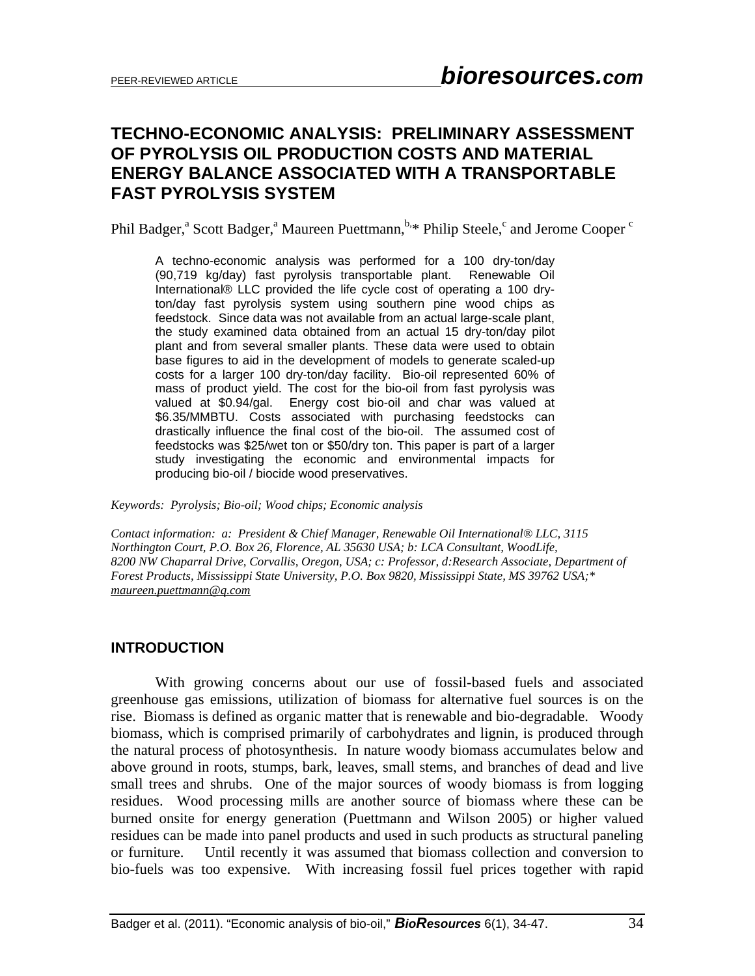# **TECHNO-ECONOMIC ANALYSIS: PRELIMINARY ASSESSMENT OF PYROLYSIS OIL PRODUCTION COSTS AND MATERIAL ENERGY BALANCE ASSOCIATED WITH A TRANSPORTABLE FAST PYROLYSIS SYSTEM**

Phil Badger,<sup>a</sup> Scott Badger,<sup>a</sup> Maureen Puettmann,<sup>b,\*</sup> Philip Steele,<sup>c</sup> and Jerome Cooper<sup>c</sup>

A techno-economic analysis was performed for a 100 dry-ton/day (90,719 kg/day) fast pyrolysis transportable plant. Renewable Oil International® LLC provided the life cycle cost of operating a 100 dryton/day fast pyrolysis system using southern pine wood chips as feedstock. Since data was not available from an actual large-scale plant, the study examined data obtained from an actual 15 dry-ton/day pilot plant and from several smaller plants. These data were used to obtain base figures to aid in the development of models to generate scaled-up costs for a larger 100 dry-ton/day facility. Bio-oil represented 60% of mass of product yield. The cost for the bio-oil from fast pyrolysis was valued at \$0.94/gal. Energy cost bio-oil and char was valued at \$6.35/MMBTU. Costs associated with purchasing feedstocks can drastically influence the final cost of the bio-oil. The assumed cost of feedstocks was \$25/wet ton or \$50/dry ton. This paper is part of a larger study investigating the economic and environmental impacts for producing bio-oil / biocide wood preservatives.

*Keywords: Pyrolysis; Bio-oil; Wood chips; Economic analysis* 

*Contact information: a: President & Chief Manager, Renewable Oil International® LLC, 3115 Northington Court, P.O. Box 26, Florence, AL 35630 USA; b: LCA Consultant, WoodLife, 8200 NW Chaparral Drive, Corvallis, Oregon, USA; c: Professor, d:Research Associate, Department of Forest Products, Mississippi State University, P.O. Box 9820, Mississippi State, MS 39762 USA;\* maureen.puettmann@q.com* 

### **INTRODUCTION**

With growing concerns about our use of fossil-based fuels and associated greenhouse gas emissions, utilization of biomass for alternative fuel sources is on the rise. Biomass is defined as organic matter that is renewable and bio-degradable. Woody biomass, which is comprised primarily of carbohydrates and lignin, is produced through the natural process of photosynthesis. In nature woody biomass accumulates below and above ground in roots, stumps, bark, leaves, small stems, and branches of dead and live small trees and shrubs. One of the major sources of woody biomass is from logging residues. Wood processing mills are another source of biomass where these can be burned onsite for energy generation (Puettmann and Wilson 2005) or higher valued residues can be made into panel products and used in such products as structural paneling or furniture. Until recently it was assumed that biomass collection and conversion to bio-fuels was too expensive. With increasing fossil fuel prices together with rapid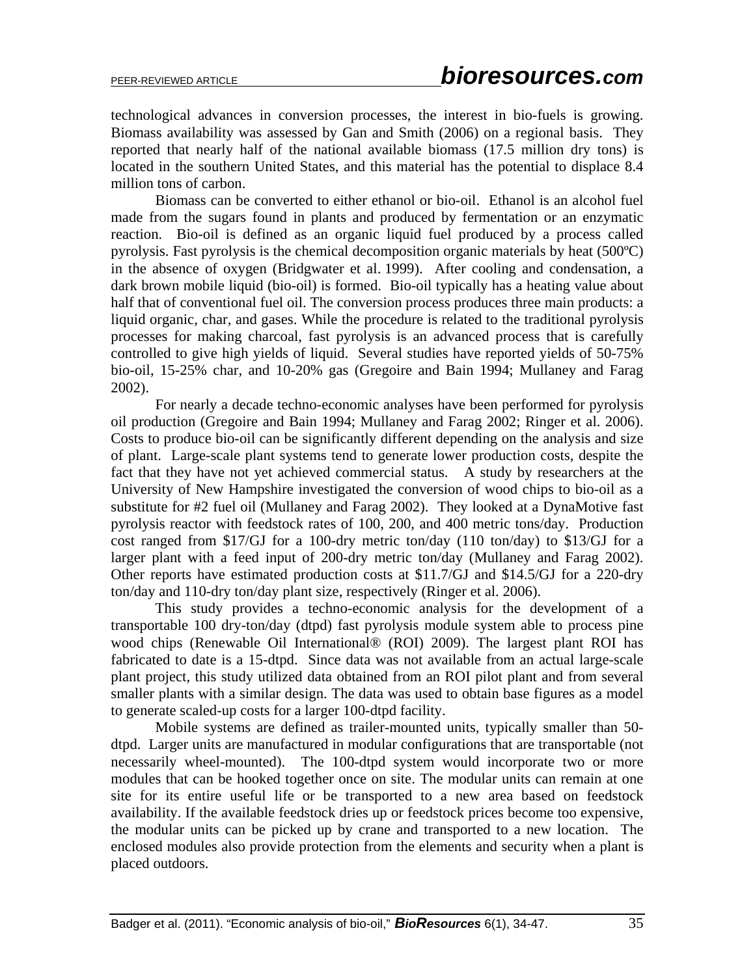technological advances in conversion processes, the interest in bio-fuels is growing. Biomass availability was assessed by Gan and Smith (2006) on a regional basis. They reported that nearly half of the national available biomass (17.5 million dry tons) is located in the southern United States, and this material has the potential to displace 8.4 million tons of carbon.

Biomass can be converted to either ethanol or bio-oil. Ethanol is an alcohol fuel made from the sugars found in plants and produced by fermentation or an enzymatic reaction. Bio-oil is defined as an organic liquid fuel produced by a process called pyrolysis. Fast pyrolysis is the chemical decomposition organic materials by heat (500ºC) in the absence of oxygen (Bridgwater et al. 1999). After cooling and condensation, a dark brown mobile liquid (bio-oil) is formed. Bio-oil typically has a heating value about half that of conventional fuel oil. The conversion process produces three main products: a liquid organic, char, and gases. While the procedure is related to the traditional pyrolysis processes for making charcoal, fast pyrolysis is an advanced process that is carefully controlled to give high yields of liquid. Several studies have reported yields of 50-75% bio-oil, 15-25% char, and 10-20% gas (Gregoire and Bain 1994; Mullaney and Farag 2002).

For nearly a decade techno-economic analyses have been performed for pyrolysis oil production (Gregoire and Bain 1994; Mullaney and Farag 2002; Ringer et al. 2006). Costs to produce bio-oil can be significantly different depending on the analysis and size of plant. Large-scale plant systems tend to generate lower production costs, despite the fact that they have not yet achieved commercial status. A study by researchers at the University of New Hampshire investigated the conversion of wood chips to bio-oil as a substitute for #2 fuel oil (Mullaney and Farag 2002). They looked at a DynaMotive fast pyrolysis reactor with feedstock rates of 100, 200, and 400 metric tons/day. Production cost ranged from \$17/GJ for a 100-dry metric ton/day (110 ton/day) to \$13/GJ for a larger plant with a feed input of 200-dry metric ton/day (Mullaney and Farag 2002). Other reports have estimated production costs at \$11.7/GJ and \$14.5/GJ for a 220-dry ton/day and 110-dry ton/day plant size, respectively (Ringer et al. 2006).

This study provides a techno-economic analysis for the development of a transportable 100 dry-ton/day (dtpd) fast pyrolysis module system able to process pine wood chips (Renewable Oil International® (ROI) 2009). The largest plant ROI has fabricated to date is a 15-dtpd. Since data was not available from an actual large-scale plant project, this study utilized data obtained from an ROI pilot plant and from several smaller plants with a similar design. The data was used to obtain base figures as a model to generate scaled-up costs for a larger 100-dtpd facility.

Mobile systems are defined as trailer-mounted units, typically smaller than 50 dtpd. Larger units are manufactured in modular configurations that are transportable (not necessarily wheel-mounted). The 100-dtpd system would incorporate two or more modules that can be hooked together once on site. The modular units can remain at one site for its entire useful life or be transported to a new area based on feedstock availability. If the available feedstock dries up or feedstock prices become too expensive, the modular units can be picked up by crane and transported to a new location. The enclosed modules also provide protection from the elements and security when a plant is placed outdoors.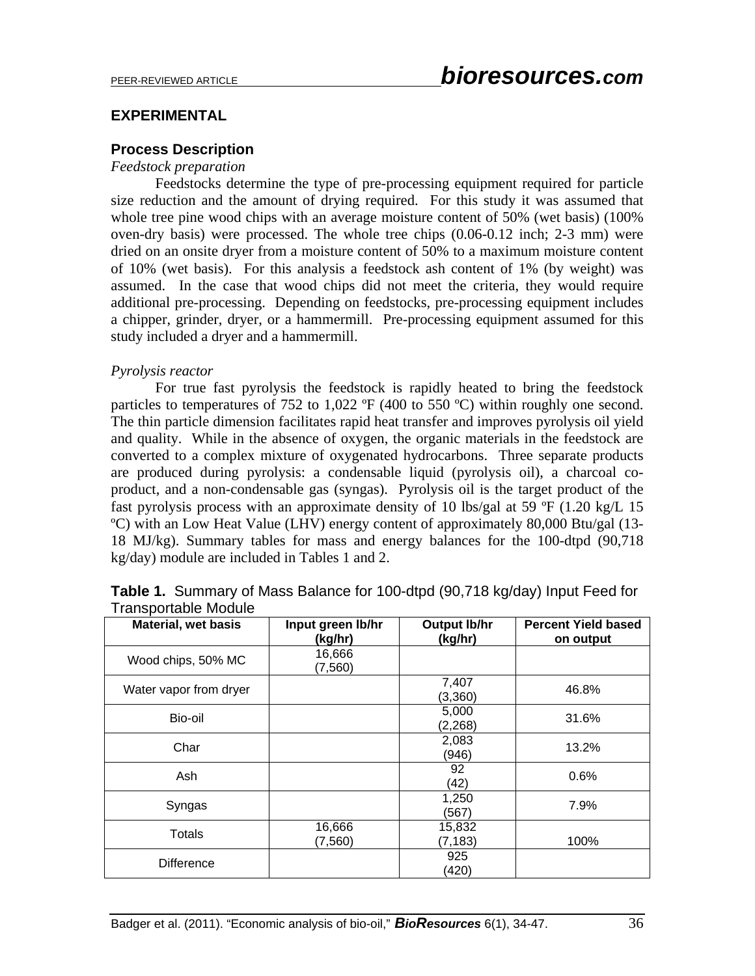## **EXPERIMENTAL**

### **Process Description**

#### *Feedstock preparation*

Feedstocks determine the type of pre-processing equipment required for particle size reduction and the amount of drying required. For this study it was assumed that whole tree pine wood chips with an average moisture content of 50% (wet basis) (100% oven-dry basis) were processed. The whole tree chips (0.06-0.12 inch; 2-3 mm) were dried on an onsite dryer from a moisture content of 50% to a maximum moisture content of 10% (wet basis). For this analysis a feedstock ash content of 1% (by weight) was assumed. In the case that wood chips did not meet the criteria, they would require additional pre-processing. Depending on feedstocks, pre-processing equipment includes a chipper, grinder, dryer, or a hammermill. Pre-processing equipment assumed for this study included a dryer and a hammermill.

### *Pyrolysis reactor*

For true fast pyrolysis the feedstock is rapidly heated to bring the feedstock particles to temperatures of 752 to 1,022 °F (400 to 550 °C) within roughly one second. The thin particle dimension facilitates rapid heat transfer and improves pyrolysis oil yield and quality. While in the absence of oxygen, the organic materials in the feedstock are converted to a complex mixture of oxygenated hydrocarbons. Three separate products are produced during pyrolysis: a condensable liquid (pyrolysis oil), a charcoal coproduct, and a non-condensable gas (syngas). Pyrolysis oil is the target product of the fast pyrolysis process with an approximate density of 10 lbs/gal at 59  $\degree$ F (1.20 kg/L 15 ºC) with an Low Heat Value (LHV) energy content of approximately 80,000 Btu/gal (13- 18 MJ/kg). Summary tables for mass and energy balances for the 100-dtpd (90,718 kg/day) module are included in Tables 1 and 2.

| . . a. .op o. .a.o.o o ao<br><b>Material, wet basis</b> | Input green lb/hr  | <b>Output lb/hr</b> | <b>Percent Yield based</b> |
|---------------------------------------------------------|--------------------|---------------------|----------------------------|
|                                                         | (kg/hr)            | (kg/hr)             | on output                  |
| Wood chips, 50% MC                                      | 16,666<br>(7, 560) |                     |                            |
| Water vapor from dryer                                  |                    | 7,407<br>(3,360)    | 46.8%                      |
| Bio-oil                                                 |                    | 5,000<br>(2, 268)   | 31.6%                      |
| Char                                                    |                    | 2,083<br>(946)      | 13.2%                      |
| Ash                                                     |                    | 92<br>(42)          | 0.6%                       |
| Syngas                                                  |                    | 1,250<br>(567)      | 7.9%                       |
| <b>Totals</b>                                           | 16,666<br>(7,560)  | 15,832<br>(7, 183)  | 100%                       |
| <b>Difference</b>                                       |                    | 925<br>(420)        |                            |

| <b>Table 1.</b> Summary of Mass Balance for 100-dtpd (90,718 kg/day) Input Feed for |  |  |  |
|-------------------------------------------------------------------------------------|--|--|--|
| <b>Transportable Module</b>                                                         |  |  |  |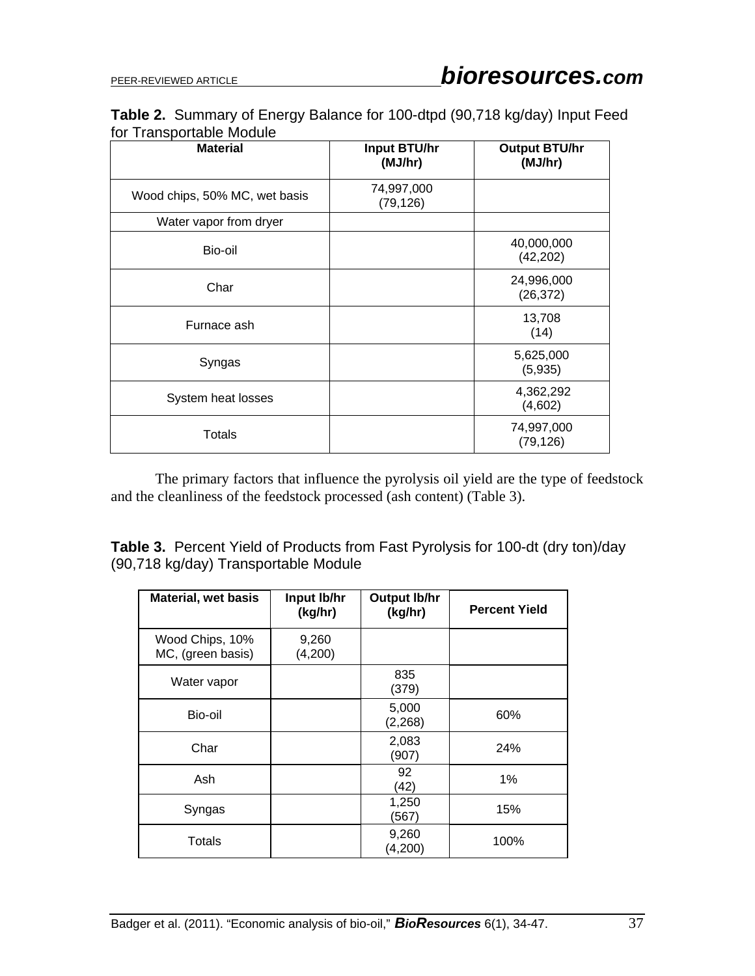### **Table 2.** Summary of Energy Balance for 100-dtpd (90,718 kg/day) Input Feed for Transportable Module

| <b>Material</b>               | <b>Input BTU/hr</b><br>(MJ/hr) | <b>Output BTU/hr</b><br>(MJ/hr) |
|-------------------------------|--------------------------------|---------------------------------|
| Wood chips, 50% MC, wet basis | 74,997,000<br>(79, 126)        |                                 |
| Water vapor from dryer        |                                |                                 |
| Bio-oil                       |                                | 40,000,000<br>(42, 202)         |
| Char                          |                                | 24,996,000<br>(26, 372)         |
| Furnace ash                   |                                | 13,708<br>(14)                  |
| Syngas                        |                                | 5,625,000<br>(5,935)            |
| System heat losses            |                                | 4,362,292<br>(4,602)            |
| <b>Totals</b>                 |                                | 74,997,000<br>(79, 126)         |

The primary factors that influence the pyrolysis oil yield are the type of feedstock and the cleanliness of the feedstock processed (ash content) (Table 3).

**Table 3.** Percent Yield of Products from Fast Pyrolysis for 100-dt (dry ton)/day (90,718 kg/day) Transportable Module

| <b>Material, wet basis</b>           | Input Ib/hr<br>(kg/hr) | <b>Output lb/hr</b><br>(kg/hr) | <b>Percent Yield</b> |
|--------------------------------------|------------------------|--------------------------------|----------------------|
| Wood Chips, 10%<br>MC, (green basis) | 9,260<br>(4,200)       |                                |                      |
| Water vapor                          |                        | 835<br>(379)                   |                      |
| Bio-oil                              |                        | 5,000<br>(2, 268)              | 60%                  |
| Char                                 |                        | 2,083<br>(907)                 | 24%                  |
| Ash                                  |                        | 92<br>(42)                     | 1%                   |
| Syngas                               |                        | 1,250<br>(567)                 | 15%                  |
| <b>Totals</b>                        |                        | 9,260<br>(4,200)               | 100%                 |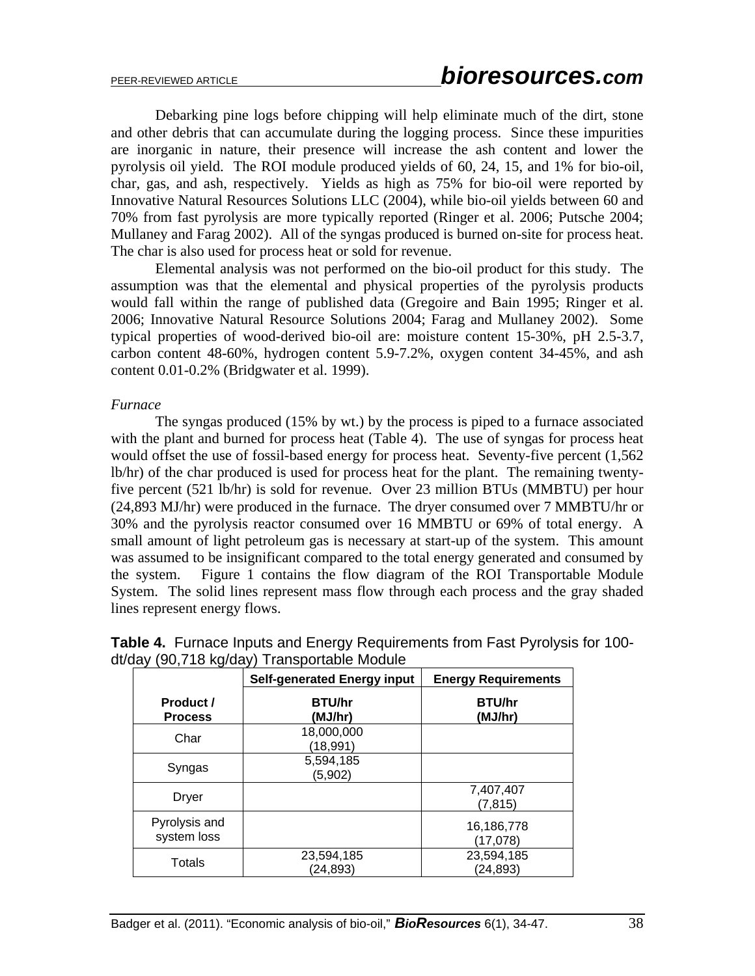Debarking pine logs before chipping will help eliminate much of the dirt, stone and other debris that can accumulate during the logging process. Since these impurities are inorganic in nature, their presence will increase the ash content and lower the pyrolysis oil yield. The ROI module produced yields of 60, 24, 15, and 1% for bio-oil, char, gas, and ash, respectively. Yields as high as 75% for bio-oil were reported by Innovative Natural Resources Solutions LLC (2004), while bio-oil yields between 60 and 70% from fast pyrolysis are more typically reported (Ringer et al. 2006; Putsche 2004; Mullaney and Farag 2002). All of the syngas produced is burned on-site for process heat. The char is also used for process heat or sold for revenue.

Elemental analysis was not performed on the bio-oil product for this study. The assumption was that the elemental and physical properties of the pyrolysis products would fall within the range of published data (Gregoire and Bain 1995; Ringer et al. 2006; Innovative Natural Resource Solutions 2004; Farag and Mullaney 2002). Some typical properties of wood-derived bio-oil are: moisture content 15-30%, pH 2.5-3.7, carbon content 48-60%, hydrogen content 5.9-7.2%, oxygen content 34-45%, and ash content 0.01-0.2% (Bridgwater et al. 1999).

#### *Furnace*

The syngas produced (15% by wt.) by the process is piped to a furnace associated with the plant and burned for process heat (Table 4). The use of syngas for process heat would offset the use of fossil-based energy for process heat. Seventy-five percent (1,562 lb/hr) of the char produced is used for process heat for the plant. The remaining twentyfive percent (521 lb/hr) is sold for revenue. Over 23 million BTUs (MMBTU) per hour (24,893 MJ/hr) were produced in the furnace. The dryer consumed over 7 MMBTU/hr or 30% and the pyrolysis reactor consumed over 16 MMBTU or 69% of total energy. A small amount of light petroleum gas is necessary at start-up of the system. This amount was assumed to be insignificant compared to the total energy generated and consumed by the system. Figure 1 contains the flow diagram of the ROI Transportable Module System. The solid lines represent mass flow through each process and the gray shaded lines represent energy flows.

|                              | <b>Self-generated Energy input</b> | <b>Energy Requirements</b> |
|------------------------------|------------------------------------|----------------------------|
| Product /<br><b>Process</b>  | <b>BTU/hr</b><br>(MJ/hr)           | <b>BTU/hr</b><br>(MJ/hr)   |
| Char                         | 18,000,000<br>(18,991)             |                            |
| Syngas                       | 5,594,185<br>(5,902)               |                            |
| <b>Dryer</b>                 |                                    | 7,407,407<br>(7, 815)      |
| Pyrolysis and<br>system loss |                                    | 16,186,778<br>(17,078)     |
| <b>Totals</b>                | 23,594,185<br>(24, 893)            | 23,594,185<br>(24, 893)    |

| <b>Table 4.</b> Furnace Inputs and Energy Requirements from Fast Pyrolysis for 100- |  |
|-------------------------------------------------------------------------------------|--|
| dt/day (90,718 kg/day) Transportable Module                                         |  |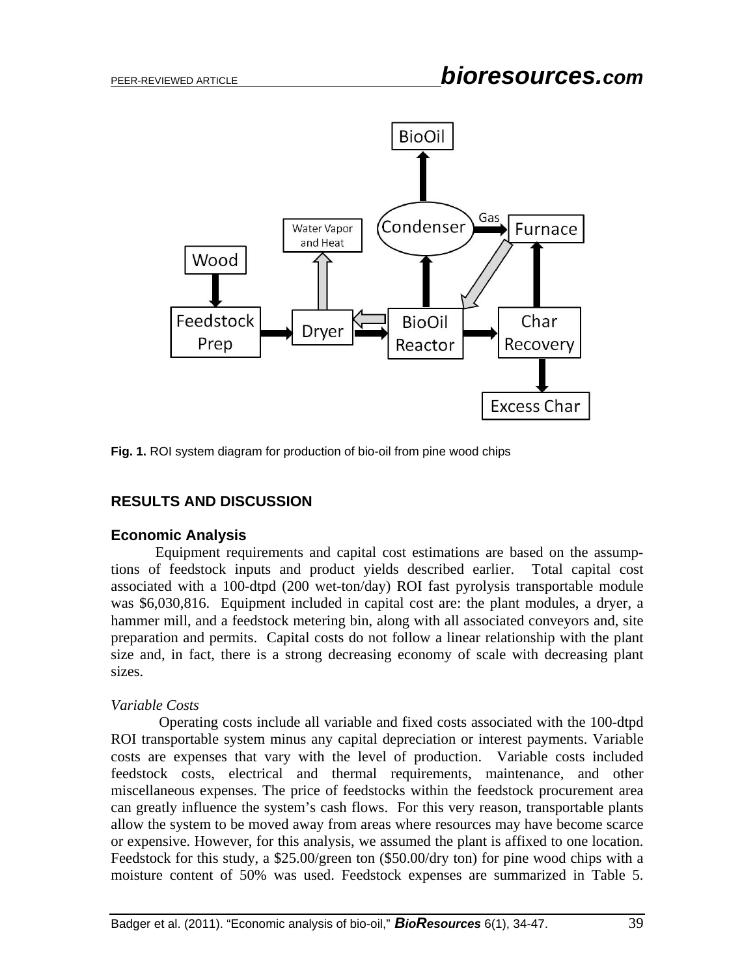

**Fig. 1.** ROI system diagram for production of bio-oil from pine wood chips

## **RESULTS AND DISCUSSION**

### **Economic Analysis**

Equipment requirements and capital cost estimations are based on the assumptions of feedstock inputs and product yields described earlier. Total capital cost associated with a 100-dtpd (200 wet-ton/day) ROI fast pyrolysis transportable module was \$6,030,816. Equipment included in capital cost are: the plant modules, a dryer, a hammer mill, and a feedstock metering bin, along with all associated conveyors and, site preparation and permits. Capital costs do not follow a linear relationship with the plant size and, in fact, there is a strong decreasing economy of scale with decreasing plant sizes.

### *Variable Costs*

 Operating costs include all variable and fixed costs associated with the 100-dtpd ROI transportable system minus any capital depreciation or interest payments. Variable costs are expenses that vary with the level of production. Variable costs included feedstock costs, electrical and thermal requirements, maintenance, and other miscellaneous expenses. The price of feedstocks within the feedstock procurement area can greatly influence the system's cash flows. For this very reason, transportable plants allow the system to be moved away from areas where resources may have become scarce or expensive. However, for this analysis, we assumed the plant is affixed to one location. Feedstock for this study, a \$25.00/green ton (\$50.00/dry ton) for pine wood chips with a moisture content of 50% was used. Feedstock expenses are summarized in Table 5.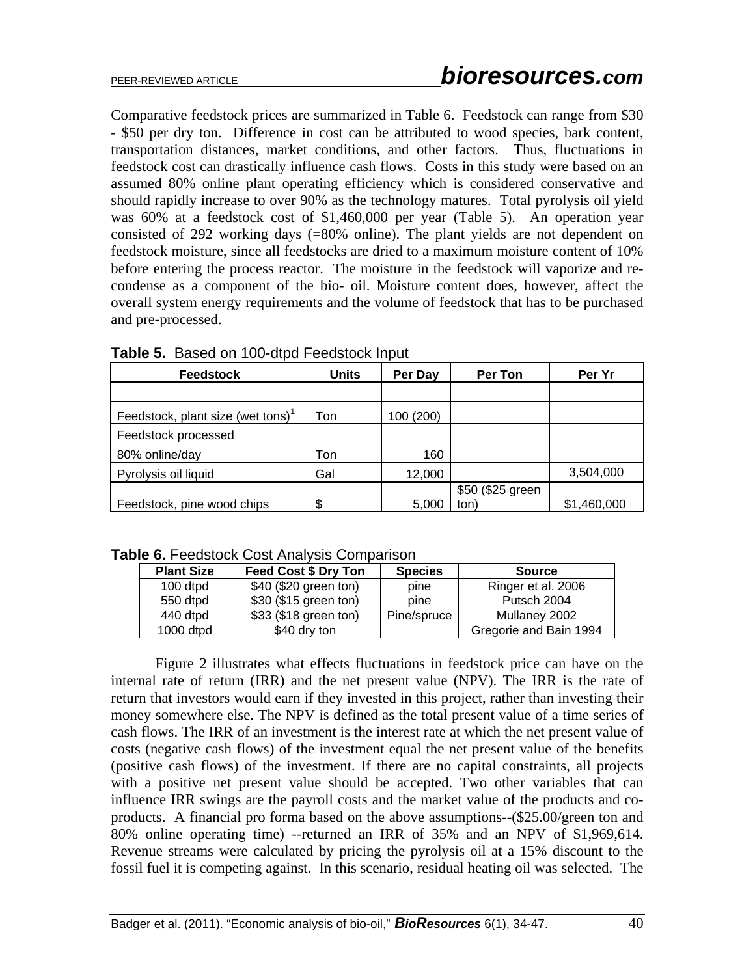Comparative feedstock prices are summarized in Table 6. Feedstock can range from \$30 - \$50 per dry ton. Difference in cost can be attributed to wood species, bark content, transportation distances, market conditions, and other factors. Thus, fluctuations in feedstock cost can drastically influence cash flows. Costs in this study were based on an assumed 80% online plant operating efficiency which is considered conservative and should rapidly increase to over 90% as the technology matures. Total pyrolysis oil yield was 60% at a feedstock cost of \$1,460,000 per year (Table 5). An operation year consisted of 292 working days (=80% online). The plant yields are not dependent on feedstock moisture, since all feedstocks are dried to a maximum moisture content of 10% before entering the process reactor. The moisture in the feedstock will vaporize and recondense as a component of the bio- oil. Moisture content does, however, affect the overall system energy requirements and the volume of feedstock that has to be purchased and pre-processed.

| <b>Feedstock</b>                              | <b>Units</b> | Per Day   | Per Ton          | Per Yr      |
|-----------------------------------------------|--------------|-----------|------------------|-------------|
|                                               |              |           |                  |             |
| Feedstock, plant size (wet tons) <sup>1</sup> | Ton          | 100 (200) |                  |             |
| Feedstock processed                           |              |           |                  |             |
| 80% online/day                                | Ton          | 160       |                  |             |
| Pyrolysis oil liquid                          | Gal          | 12,000    |                  | 3,504,000   |
|                                               |              |           | \$50 (\$25 green |             |
| Feedstock, pine wood chips                    | \$           | 5.000     | ton)             | \$1,460,000 |

**Table 5.** Based on 100-dtpd Feedstock Input

**Table 6.** Feedstock Cost Analysis Comparison

| <b>Plant Size</b> | Feed Cost \$ Dry Ton  | <b>Species</b> | <b>Source</b>          |
|-------------------|-----------------------|----------------|------------------------|
| 100 dtpd          | \$40 (\$20 green ton) | pine           | Ringer et al. 2006     |
| 550 dtpd          | \$30 (\$15 green ton) | pine           | Putsch 2004            |
| 440 dtpd          | \$33 (\$18 green ton) | Pine/spruce    | Mullaney 2002          |
| $1000$ dtpd       | \$40 dry ton          |                | Gregorie and Bain 1994 |

 Figure 2 illustrates what effects fluctuations in feedstock price can have on the internal rate of return (IRR) and the net present value (NPV). The IRR is the rate of return that investors would earn if they invested in this project, rather than investing their money somewhere else. The NPV is defined as the total present value of a time series of cash flows. The IRR of an investment is the interest rate at which the net present value of costs (negative cash flows) of the investment equal the net present value of the benefits (positive cash flows) of the investment. If there are no capital constraints, all projects with a positive net present value should be accepted. Two other variables that can influence IRR swings are the payroll costs and the market value of the products and coproducts. A financial pro forma based on the above assumptions--(\$25.00/green ton and 80% online operating time) --returned an IRR of 35% and an NPV of \$1,969,614. Revenue streams were calculated by pricing the pyrolysis oil at a 15% discount to the fossil fuel it is competing against. In this scenario, residual heating oil was selected. The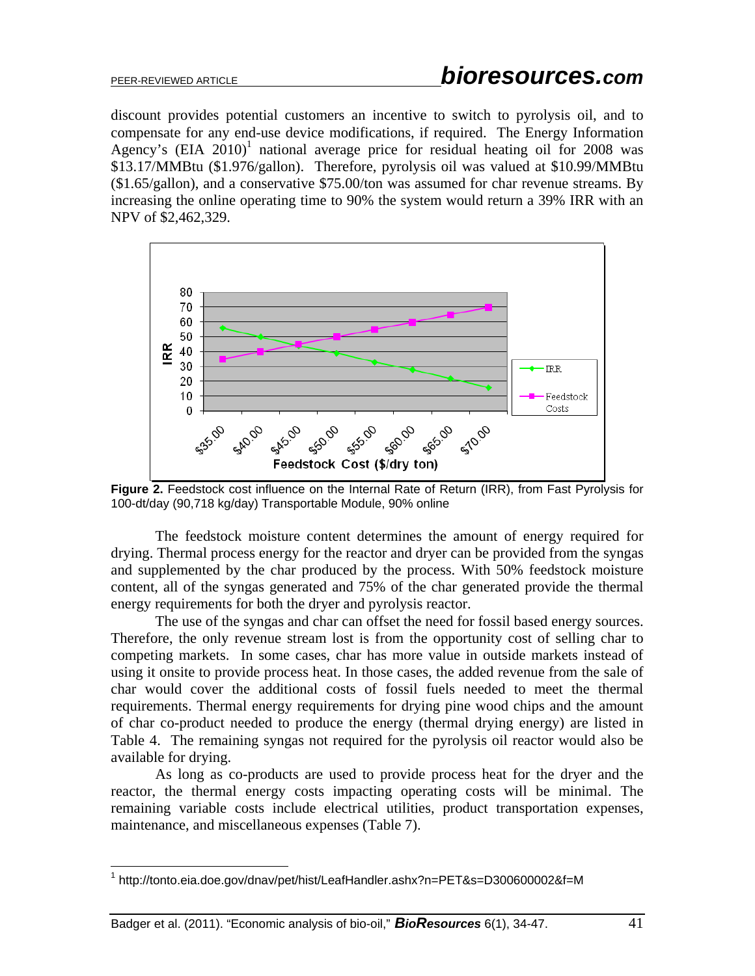$\overline{a}$ 

discount provides potential customers an incentive to switch to pyrolysis oil, and to compensate for any end-use device modifications, if required. The Energy Information Agency's  $(EIA 2010)^1$  national average price for residual heating oil for 2008 was \$13.17/MMBtu (\$1.976/gallon). Therefore, pyrolysis oil was valued at \$10.99/MMBtu (\$1.65/gallon), and a conservative \$75.00/ton was assumed for char revenue streams. By increasing the online operating time to 90% the system would return a 39% IRR with an NPV of \$2,462,329.



**Figure 2.** Feedstock cost influence on the Internal Rate of Return (IRR), from Fast Pyrolysis for 100-dt/day (90,718 kg/day) Transportable Module, 90% online

The feedstock moisture content determines the amount of energy required for drying. Thermal process energy for the reactor and dryer can be provided from the syngas and supplemented by the char produced by the process. With 50% feedstock moisture content, all of the syngas generated and 75% of the char generated provide the thermal energy requirements for both the dryer and pyrolysis reactor.

The use of the syngas and char can offset the need for fossil based energy sources. Therefore, the only revenue stream lost is from the opportunity cost of selling char to competing markets. In some cases, char has more value in outside markets instead of using it onsite to provide process heat. In those cases, the added revenue from the sale of char would cover the additional costs of fossil fuels needed to meet the thermal requirements. Thermal energy requirements for drying pine wood chips and the amount of char co-product needed to produce the energy (thermal drying energy) are listed in Table 4. The remaining syngas not required for the pyrolysis oil reactor would also be available for drying.

As long as co-products are used to provide process heat for the dryer and the reactor, the thermal energy costs impacting operating costs will be minimal. The remaining variable costs include electrical utilities, product transportation expenses, maintenance, and miscellaneous expenses (Table 7).

<sup>&</sup>lt;sup>1</sup> http://tonto.eia.doe.gov/dnav/pet/hist/LeafHandler.ashx?n=PET&s=D300600002&f=M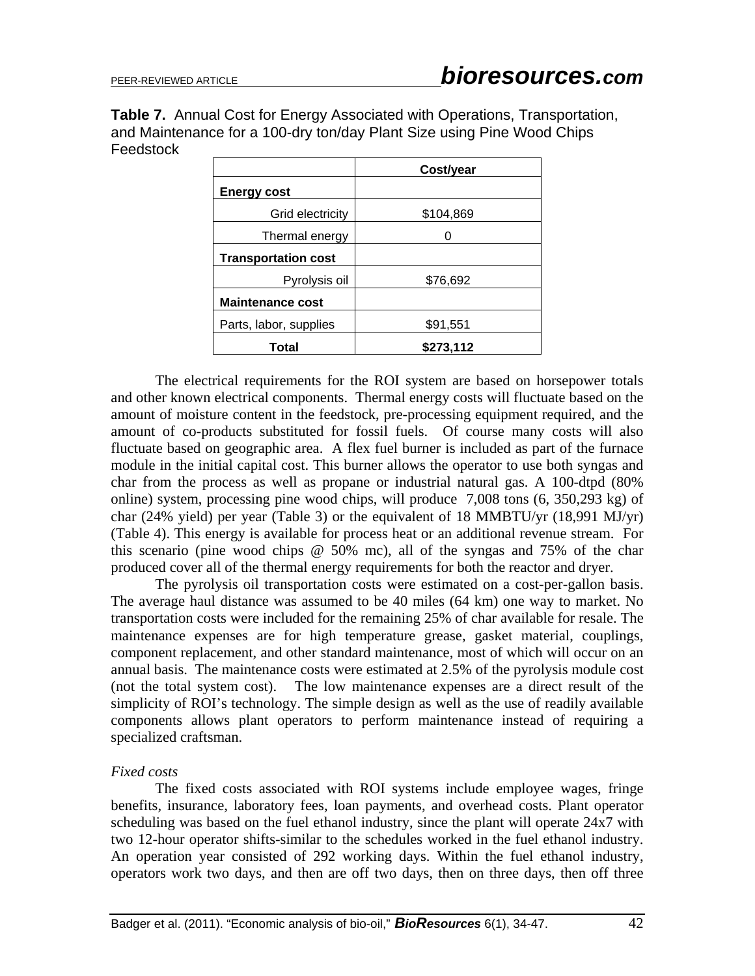**Table 7.** Annual Cost for Energy Associated with Operations, Transportation, and Maintenance for a 100-dry ton/day Plant Size using Pine Wood Chips **Feedstock** 

|                            | Cost/year |
|----------------------------|-----------|
| <b>Energy cost</b>         |           |
| Grid electricity           | \$104,869 |
| Thermal energy             | 0         |
| <b>Transportation cost</b> |           |
| Pyrolysis oil              | \$76,692  |
| <b>Maintenance cost</b>    |           |
| Parts, labor, supplies     | \$91,551  |
| Total                      | \$273,112 |

The electrical requirements for the ROI system are based on horsepower totals and other known electrical components. Thermal energy costs will fluctuate based on the amount of moisture content in the feedstock, pre-processing equipment required, and the amount of co-products substituted for fossil fuels. Of course many costs will also fluctuate based on geographic area. A flex fuel burner is included as part of the furnace module in the initial capital cost. This burner allows the operator to use both syngas and char from the process as well as propane or industrial natural gas. A 100-dtpd (80% online) system, processing pine wood chips, will produce 7,008 tons (6, 350,293 kg) of char (24% yield) per year (Table 3) or the equivalent of 18 MMBTU/yr (18,991 MJ/yr) (Table 4). This energy is available for process heat or an additional revenue stream. For this scenario (pine wood chips @ 50% mc), all of the syngas and 75% of the char produced cover all of the thermal energy requirements for both the reactor and dryer.

The pyrolysis oil transportation costs were estimated on a cost-per-gallon basis. The average haul distance was assumed to be 40 miles (64 km) one way to market. No transportation costs were included for the remaining 25% of char available for resale. The maintenance expenses are for high temperature grease, gasket material, couplings, component replacement, and other standard maintenance, most of which will occur on an annual basis. The maintenance costs were estimated at 2.5% of the pyrolysis module cost (not the total system cost). The low maintenance expenses are a direct result of the simplicity of ROI's technology. The simple design as well as the use of readily available components allows plant operators to perform maintenance instead of requiring a specialized craftsman.

## *Fixed costs*

The fixed costs associated with ROI systems include employee wages, fringe benefits, insurance, laboratory fees, loan payments, and overhead costs. Plant operator scheduling was based on the fuel ethanol industry, since the plant will operate 24x7 with two 12-hour operator shifts-similar to the schedules worked in the fuel ethanol industry. An operation year consisted of 292 working days. Within the fuel ethanol industry, operators work two days, and then are off two days, then on three days, then off three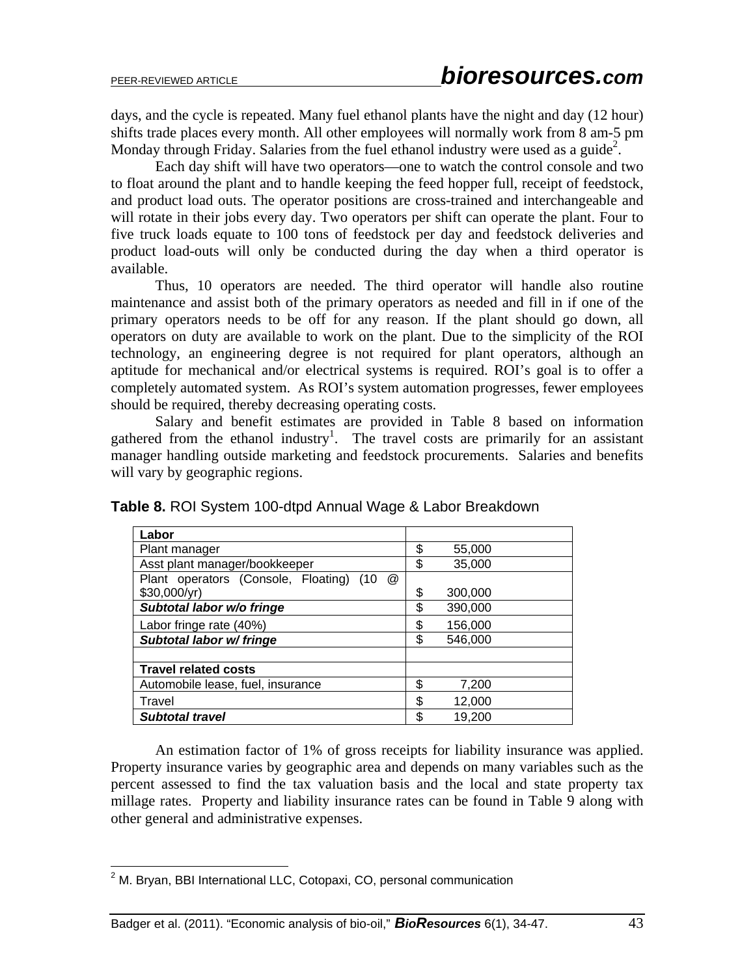days, and the cycle is repeated. Many fuel ethanol plants have the night and day (12 hour) shifts trade places every month. All other employees will normally work from 8 am-5 pm Monday through Friday. Salaries from the fuel ethanol industry were used as a guide<sup>2</sup>.

Each day shift will have two operators—one to watch the control console and two to float around the plant and to handle keeping the feed hopper full, receipt of feedstock, and product load outs. The operator positions are cross-trained and interchangeable and will rotate in their jobs every day. Two operators per shift can operate the plant. Four to five truck loads equate to 100 tons of feedstock per day and feedstock deliveries and product load-outs will only be conducted during the day when a third operator is available.

Thus, 10 operators are needed. The third operator will handle also routine maintenance and assist both of the primary operators as needed and fill in if one of the primary operators needs to be off for any reason. If the plant should go down, all operators on duty are available to work on the plant. Due to the simplicity of the ROI technology, an engineering degree is not required for plant operators, although an aptitude for mechanical and/or electrical systems is required. ROI's goal is to offer a completely automated system. As ROI's system automation progresses, fewer employees should be required, thereby decreasing operating costs.

Salary and benefit estimates are provided in Table 8 based on information gathered from the ethanol industry<sup>1</sup>. The travel costs are primarily for an assistant manager handling outside marketing and feedstock procurements. Salaries and benefits will vary by geographic regions.

| Labor                                           |               |  |
|-------------------------------------------------|---------------|--|
| Plant manager                                   | \$<br>55,000  |  |
| Asst plant manager/bookkeeper                   | \$<br>35,000  |  |
| Plant operators (Console, Floating)<br>(10<br>@ |               |  |
| \$30,000/yr)                                    | \$<br>300,000 |  |
| Subtotal labor w/o fringe                       | \$<br>390,000 |  |
| Labor fringe rate (40%)                         | \$<br>156,000 |  |
| Subtotal labor w/ fringe                        | \$<br>546,000 |  |
|                                                 |               |  |
| <b>Travel related costs</b>                     |               |  |
| Automobile lease, fuel, insurance               | \$<br>7,200   |  |
| Travel                                          | \$<br>12,000  |  |
| <b>Subtotal travel</b>                          | \$<br>19,200  |  |

**Table 8.** ROI System 100-dtpd Annual Wage & Labor Breakdown

An estimation factor of 1% of gross receipts for liability insurance was applied. Property insurance varies by geographic area and depends on many variables such as the percent assessed to find the tax valuation basis and the local and state property tax millage rates. Property and liability insurance rates can be found in Table 9 along with other general and administrative expenses.

 2 M. Bryan, BBI International LLC, Cotopaxi, CO, personal communication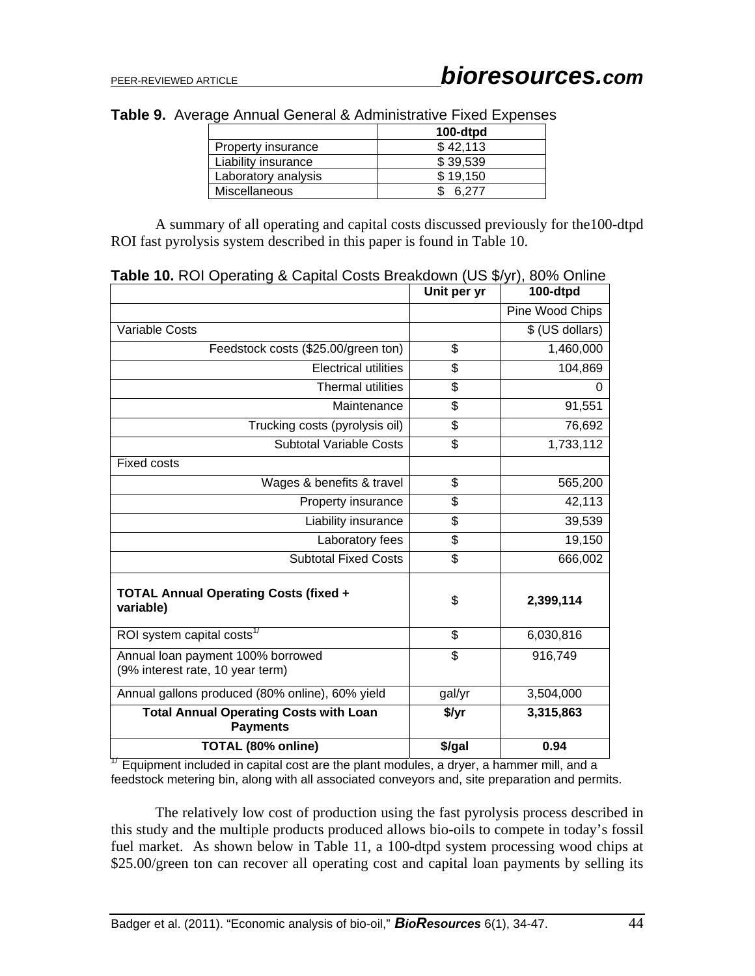| Table 9. Average Annual General & Administrative Fixed Expenses |
|-----------------------------------------------------------------|
|-----------------------------------------------------------------|

|                      | 100-dtpd |
|----------------------|----------|
| Property insurance   | \$42,113 |
| Liability insurance  | \$39,539 |
| Laboratory analysis  | \$19.150 |
| <b>Miscellaneous</b> | 6.277    |

A summary of all operating and capital costs discussed previously for the100-dtpd ROI fast pyrolysis system described in this paper is found in Table 10.

|                                                                       | Unit per yr              | 100-dtpd        |  |
|-----------------------------------------------------------------------|--------------------------|-----------------|--|
|                                                                       |                          | Pine Wood Chips |  |
| Variable Costs                                                        |                          | \$ (US dollars) |  |
| Feedstock costs (\$25.00/green ton)                                   | \$                       | 1,460,000       |  |
| <b>Electrical utilities</b>                                           | \$                       | 104,869         |  |
| <b>Thermal utilities</b>                                              | \$                       | 0               |  |
| Maintenance                                                           | \$                       | 91,551          |  |
| Trucking costs (pyrolysis oil)                                        | \$                       | 76,692          |  |
| <b>Subtotal Variable Costs</b>                                        | \$                       | 1,733,112       |  |
| <b>Fixed costs</b>                                                    |                          |                 |  |
| Wages & benefits & travel                                             | \$                       | 565,200         |  |
| Property insurance                                                    | \$                       | 42,113          |  |
| Liability insurance                                                   | \$                       | 39,539          |  |
| Laboratory fees                                                       | \$                       | 19,150          |  |
| <b>Subtotal Fixed Costs</b>                                           | \$                       | 666,002         |  |
| <b>TOTAL Annual Operating Costs (fixed +</b><br>variable)             | \$                       | 2,399,114       |  |
| ROI system capital costs <sup>17</sup>                                | $\overline{\mathcal{S}}$ | 6,030,816       |  |
| Annual loan payment 100% borrowed<br>(9% interest rate, 10 year term) | \$                       | 916,749         |  |
| Annual gallons produced (80% online), 60% yield                       | gal/yr                   | 3,504,000       |  |
| <b>Total Annual Operating Costs with Loan</b><br><b>Payments</b>      | \$/yr                    | 3,315,863       |  |
| TOTAL (80% online)                                                    | \$/gal                   | 0.94            |  |

**Table 10.** ROI Operating & Capital Costs Breakdown (US \$/yr), 80% Online

 $17$  Equipment included in capital cost are the plant modules, a dryer, a hammer mill, and a feedstock metering bin, along with all associated conveyors and, site preparation and permits.

The relatively low cost of production using the fast pyrolysis process described in this study and the multiple products produced allows bio-oils to compete in today's fossil fuel market. As shown below in Table 11, a 100-dtpd system processing wood chips at \$25.00/green ton can recover all operating cost and capital loan payments by selling its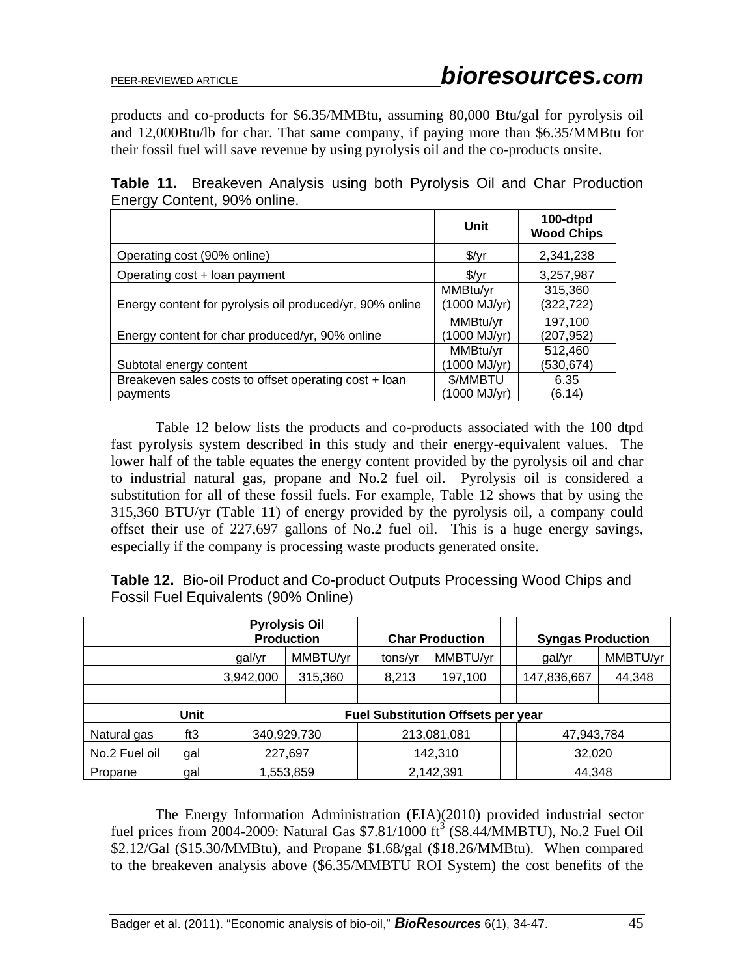products and co-products for \$6.35/MMBtu, assuming 80,000 Btu/gal for pyrolysis oil and 12,000Btu/lb for char. That same company, if paying more than \$6.35/MMBtu for their fossil fuel will save revenue by using pyrolysis oil and the co-products onsite.

|                                                                   | Unit                    | 100-dtpd<br><b>Wood Chips</b> |
|-------------------------------------------------------------------|-------------------------|-------------------------------|
| Operating cost (90% online)                                       | $\frac{f}{f}$           | 2,341,238                     |
| Operating cost + loan payment                                     | $\sqrt[6]{y}$ r         | 3,257,987                     |
| Energy content for pyrolysis oil produced/yr, 90% online          | MMBtu/yr<br>1000 MJ/yr) | 315,360<br>(322, 722)         |
| Energy content for char produced/yr, 90% online                   | MMBtu/yr<br>1000 MJ/yr) | 197,100<br>(207,952)          |
| Subtotal energy content                                           | MMBtu/yr<br>1000 MJ/yr) | 512,460<br>(530,674)          |
| Breakeven sales costs to offset operating cost + loan<br>payments | \$/MMBTU<br>1000 MJ/yr) | 6.35<br>(6.14)                |

**Table 11.** Breakeven Analysis using both Pyrolysis Oil and Char Production Energy Content, 90% online.

Table 12 below lists the products and co-products associated with the 100 dtpd fast pyrolysis system described in this study and their energy-equivalent values. The lower half of the table equates the energy content provided by the pyrolysis oil and char to industrial natural gas, propane and No.2 fuel oil. Pyrolysis oil is considered a substitution for all of these fossil fuels. For example, Table 12 shows that by using the 315,360 BTU/yr (Table 11) of energy provided by the pyrolysis oil, a company could offset their use of 227,697 gallons of No.2 fuel oil. This is a huge energy savings, especially if the company is processing waste products generated onsite.

**Table 12.** Bio-oil Product and Co-product Outputs Processing Wood Chips and Fossil Fuel Equivalents (90% Online)

|               |      | <b>Pyrolysis Oil</b><br><b>Production</b> |          |  | <b>Char Production</b> |          |  | <b>Syngas Production</b> |          |
|---------------|------|-------------------------------------------|----------|--|------------------------|----------|--|--------------------------|----------|
|               |      | gal/yr                                    | MMBTU/yr |  | tons/yr                | MMBTU/yr |  | gal/yr                   | MMBTU/yr |
|               |      | 3,942,000                                 | 315,360  |  | 8,213                  | 197,100  |  | 147,836,667              | 44,348   |
|               |      |                                           |          |  |                        |          |  |                          |          |
|               | Unit | <b>Fuel Substitution Offsets per year</b> |          |  |                        |          |  |                          |          |
| Natural gas   | ft3  | 340,929,730                               |          |  | 213,081,081            |          |  | 47,943,784               |          |
| No.2 Fuel oil | gal  | 227,697                                   |          |  | 142,310                |          |  | 32,020                   |          |
| Propane       | gal  | 1,553,859                                 |          |  | 2,142,391              |          |  | 44,348                   |          |

The Energy Information Administration (EIA)(2010) provided industrial sector fuel prices from 2004-2009: Natural Gas  $$7.81/1000$  ft<sup>3</sup> (\$8.44/MMBTU), No.2 Fuel Oil \$2.12/Gal (\$15.30/MMBtu), and Propane \$1.68/gal (\$18.26/MMBtu). When compared to the breakeven analysis above (\$6.35/MMBTU ROI System) the cost benefits of the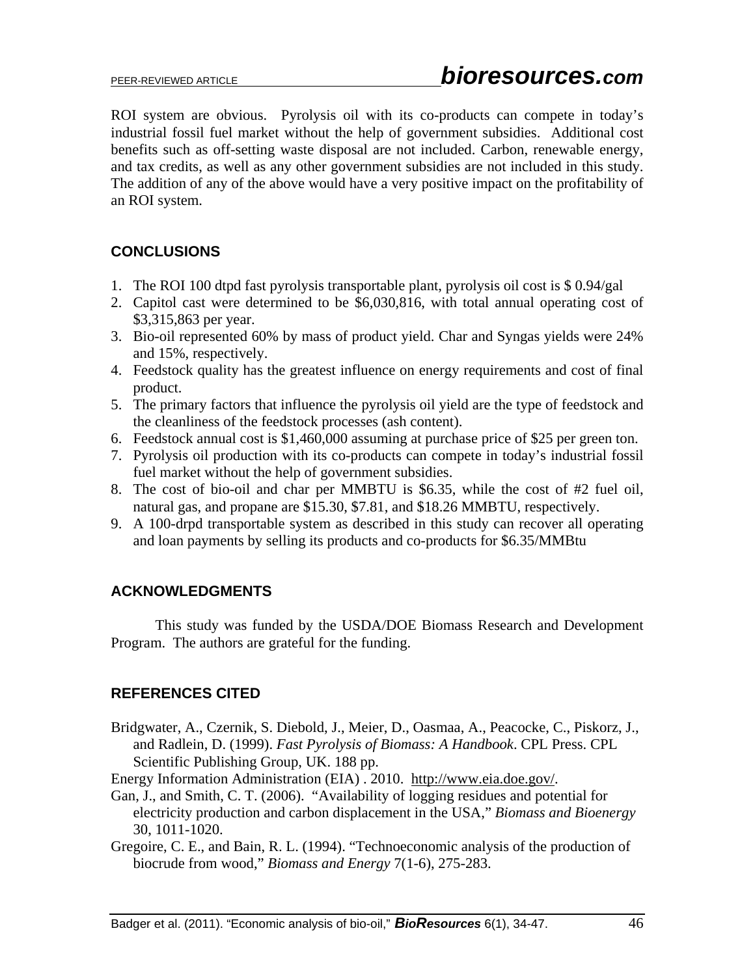ROI system are obvious. Pyrolysis oil with its co-products can compete in today's industrial fossil fuel market without the help of government subsidies. Additional cost benefits such as off-setting waste disposal are not included. Carbon, renewable energy, and tax credits, as well as any other government subsidies are not included in this study. The addition of any of the above would have a very positive impact on the profitability of an ROI system.

## **CONCLUSIONS**

- 1. The ROI 100 dtpd fast pyrolysis transportable plant, pyrolysis oil cost is \$ 0.94/gal
- 2. Capitol cast were determined to be \$6,030,816, with total annual operating cost of \$3,315,863 per year.
- 3. Bio-oil represented 60% by mass of product yield. Char and Syngas yields were 24% and 15%, respectively.
- 4. Feedstock quality has the greatest influence on energy requirements and cost of final product.
- 5. The primary factors that influence the pyrolysis oil yield are the type of feedstock and the cleanliness of the feedstock processes (ash content).
- 6. Feedstock annual cost is \$1,460,000 assuming at purchase price of \$25 per green ton.
- 7. Pyrolysis oil production with its co-products can compete in today's industrial fossil fuel market without the help of government subsidies.
- 8. The cost of bio-oil and char per MMBTU is \$6.35, while the cost of #2 fuel oil, natural gas, and propane are \$15.30, \$7.81, and \$18.26 MMBTU, respectively.
- 9. A 100-drpd transportable system as described in this study can recover all operating and loan payments by selling its products and co-products for \$6.35/MMBtu

## **ACKNOWLEDGMENTS**

This study was funded by the USDA/DOE Biomass Research and Development Program. The authors are grateful for the funding.

## **REFERENCES CITED**

Bridgwater, A., Czernik, S. Diebold, J., Meier, D., Oasmaa, A., Peacocke, C., Piskorz, J., and Radlein, D. (1999). *Fast Pyrolysis of Biomass: A Handbook*. CPL Press. CPL Scientific Publishing Group, UK. 188 pp.

Energy Information Administration (EIA) . 2010. http://www.eia.doe.gov/.

- Gan, J., and Smith, C. T. (2006). "Availability of logging residues and potential for electricity production and carbon displacement in the USA," *Biomass and Bioenergy* 30, 1011-1020.
- Gregoire, C. E., and Bain, R. L. (1994). "Technoeconomic analysis of the production of biocrude from wood," *Biomass and Energy* 7(1-6), 275-283.